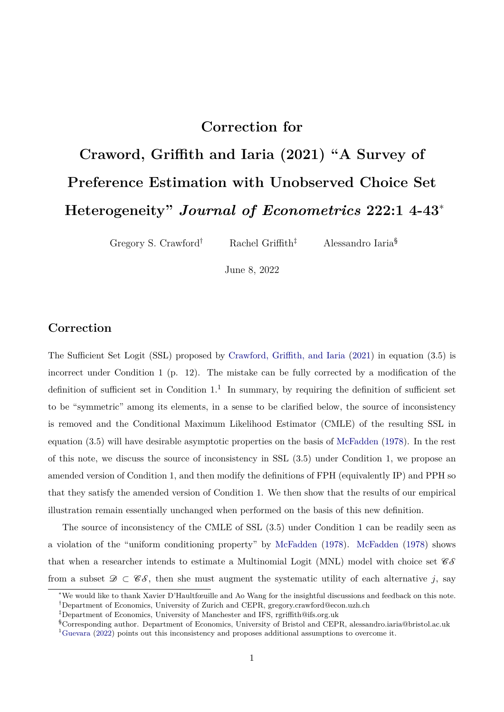## **Correction for**

# **Craword, Griffith and Iaria (2021) "A Survey of Preference Estimation with Unobserved Choice Set Heterogeneity"** *Journal of Econometrics* **222:1 4-43**<sup>∗</sup>

Gregory S. Crawford<sup>†</sup> Rachel Griffith<sup>‡</sup> Alessandro Iaria<sup>§</sup>

June 8, 2022

### **Correction**

The Sufficient Set Logit (SSL) proposed by [Crawford, Griffith, and Iaria](#page-8-0) [\(2021\)](#page-8-0) in equation (3.5) is incorrect under Condition 1 (p. 12). The mistake can be fully corrected by a modification of the definition of sufficient set in Condition  $1<sup>1</sup>$  $1<sup>1</sup>$  In summary, by requiring the definition of sufficient set to be "symmetric" among its elements, in a sense to be clarified below, the source of inconsistency is removed and the Conditional Maximum Likelihood Estimator (CMLE) of the resulting SSL in equation (3.5) will have desirable asymptotic properties on the basis of [McFadden](#page-8-1) [\(1978\)](#page-8-1). In the rest of this note, we discuss the source of inconsistency in SSL (3.5) under Condition 1, we propose an amended version of Condition 1, and then modify the definitions of FPH (equivalently IP) and PPH so that they satisfy the amended version of Condition 1. We then show that the results of our empirical illustration remain essentially unchanged when performed on the basis of this new definition.

The source of inconsistency of the CMLE of SSL (3.5) under Condition 1 can be readily seen as a violation of the "uniform conditioning property" by [McFadden](#page-8-1) [\(1978\)](#page-8-1). [McFadden](#page-8-1) [\(1978\)](#page-8-1) shows that when a researcher intends to estimate a Multinomial Logit (MNL) model with choice set  $\mathscr{C}\mathscr{S}$ from a subset  $\mathscr{D} \subset \mathscr{C}\mathscr{S}$ , then she must augment the systematic utility of each alternative *j*, say

<sup>∗</sup>We would like to thank Xavier D'Haultfœuille and Ao Wang for the insightful discussions and feedback on this note. †Department of Economics, University of Zurich and CEPR, gregory.crawford@econ.uzh.ch

<sup>‡</sup>Department of Economics, University of Manchester and IFS, rgriffith@ifs.org.uk

<span id="page-0-0"></span><sup>§</sup>Corresponding author. Department of Economics, University of Bristol and CEPR, alessandro.iaria@bristol.ac.uk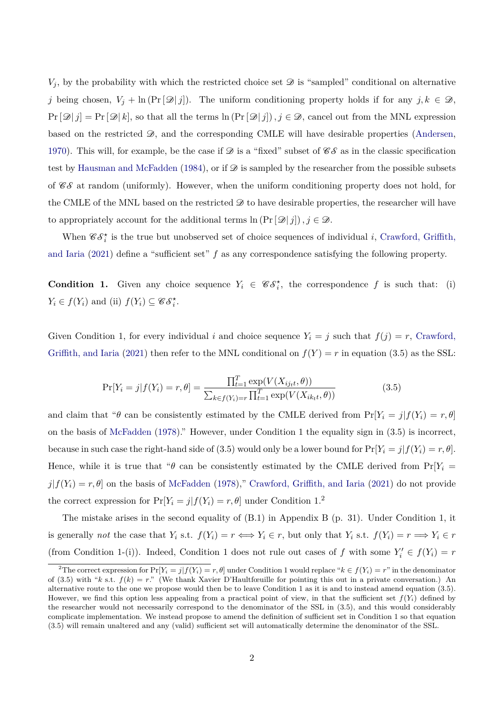$V_i$ , by the probability with which the restricted choice set  $\mathscr D$  is "sampled" conditional on alternative *j* being chosen,  $V_j + \ln (\Pr[\mathcal{D} | j])$ . The uniform conditioning property holds if for any  $j, k \in \mathcal{D}$ ,  $Pr[\mathcal{D}|j] = Pr[\mathcal{D}|k]$ , so that all the terms  $ln(Pr[\mathcal{D}|j])$ ,  $j \in \mathcal{D}$ , cancel out from the MNL expression based on the restricted  $\mathcal{D}$ , and the corresponding CMLE will have desirable properties [\(Andersen,](#page-8-3) [1970\)](#page-8-3). This will, for example, be the case if  $\mathscr D$  is a "fixed" subset of  $\mathscr C\mathscr S$  as in the classic specification test by [Hausman and McFadden](#page-8-4) [\(1984\)](#page-8-4), or if  $\mathscr D$  is sampled by the researcher from the possible subsets of  $\mathscr{C}\mathscr{S}$  at random (uniformly). However, when the uniform conditioning property does not hold, for the CMLE of the MNL based on the restricted  $\mathscr D$  to have desirable properties, the researcher will have to appropriately account for the additional terms  $\ln \left( \Pr[\mathcal{D} | j] \right), j \in \mathcal{D}$ .

When  $\mathscr{C}\mathscr{S}_i^*$  is the true but unobserved set of choice sequences of individual *i*, [Crawford, Griffith,](#page-8-0) [and Iaria](#page-8-0) [\(2021\)](#page-8-0) define a "sufficient set" *f* as any correspondence satisfying the following property.

**Condition 1.** Given any choice sequence  $Y_i \in \mathscr{CS}_i^*$ , the correspondence f is such that: (i)  $Y_i \in f(Y_i)$  and (ii)  $f(Y_i) \subseteq \mathscr{C} \mathscr{S}_i^*$ .

Given Condition 1, for every individual *i* and choice sequence  $Y_i = j$  such that  $f(j) = r$ , [Crawford,](#page-8-0) [Griffith, and Iaria](#page-8-0) [\(2021\)](#page-8-0) then refer to the MNL conditional on  $f(Y) = r$  in equation (3.5) as the SSL:

$$
\Pr[Y_i = j | f(Y_i) = r, \theta] = \frac{\prod_{t=1}^T \exp(V(X_{ij_t t}, \theta))}{\sum_{k \in f(Y_i) = r} \prod_{t=1}^T \exp(V(X_{ik_t t}, \theta))}
$$
(3.5)

and claim that " $\theta$  can be consistently estimated by the CMLE derived from  $\Pr[Y_i = j | f(Y_i) = r, \theta]$ on the basis of [McFadden](#page-8-1) [\(1978\)](#page-8-1)." However, under Condition 1 the equality sign in (3.5) is incorrect, because in such case the right-hand side of (3.5) would only be a lower bound for  $\Pr[Y_i = j | f(Y_i) = r, \theta]$ . Hence, while it is true that " $\theta$  can be consistently estimated by the CMLE derived from Pr[ $Y_i$  =  $j|f(Y_i) = r, \theta$  on the basis of [McFadden](#page-8-1) [\(1978\)](#page-8-1)," [Crawford, Griffith, and Iaria](#page-8-0) [\(2021\)](#page-8-0) do not provide the correct expression for  $Pr[Y_i = j | f(Y_i) = r, \theta]$  under Condition 1.<sup>[2](#page-1-0)</sup>

The mistake arises in the second equality of (B.1) in Appendix B (p. 31). Under Condition 1, it is generally *not* the case that  $Y_i$  s.t.  $f(Y_i) = r \iff Y_i \in r$ , but only that  $Y_i$  s.t.  $f(Y_i) = r \Longrightarrow Y_i \in r$ (from Condition 1-(i)). Indeed, Condition 1 does not rule out cases of *f* with some  $Y'_i \in f(Y_i) = r$ 

<span id="page-1-0"></span><sup>&</sup>lt;sup>2</sup>The correct expression for  $\Pr[Y_i = j | f(Y_i) = r, \theta]$  under Condition 1 would replace " $k \in f(Y_i) = r$ " in the denominator of (3.5) with " $k$  s.t.  $f(k) = r$ ." (We thank Xavier D'Haultfœuille for pointing this out in a private conversation.) An alternative route to the one we propose would then be to leave Condition 1 as it is and to instead amend equation (3.5). However, we find this option less appealing from a practical point of view, in that the sufficient set  $f(Y_i)$  defined by the researcher would not necessarily correspond to the denominator of the SSL in (3.5), and this would considerably complicate implementation. We instead propose to amend the definition of sufficient set in Condition 1 so that equation (3.5) will remain unaltered and any (valid) sufficient set will automatically determine the denominator of the SSL.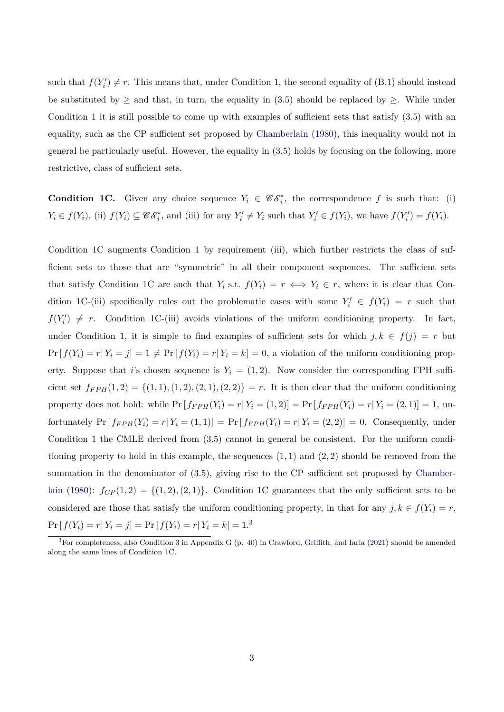such that  $f(Y_i') \neq r$ . This means that, under Condition 1, the second equality of (B.1) should instead be substituted by  $\geq$  and that, in turn, the equality in (3.5) should be replaced by  $\geq$ . While under Condition 1 it is still possible to come up with examples of sufficient sets that satisfy (3.5) with an equality, such as the CP sufficient set proposed by [Chamberlain](#page-8-5) [\(1980\)](#page-8-5), this inequality would not in general be particularly useful. However, the equality in (3.5) holds by focusing on the following, more restrictive, class of sufficient sets.

**Condition 1C.** Given any choice sequence  $Y_i \in \mathscr{CS}_i^*$ , the correspondence f is such that: (i)  $Y_i \in f(Y_i)$ , (ii)  $f(Y_i) \subseteq \mathscr{CS}_i^*$ , and (iii) for any  $Y_i' \neq Y_i$  such that  $Y_i' \in f(Y_i)$ , we have  $f(Y_i') = f(Y_i)$ .

Condition 1C augments Condition 1 by requirement (iii), which further restricts the class of sufficient sets to those that are "symmetric" in all their component sequences. The sufficient sets that satisfy Condition 1C are such that  $Y_i$  s.t.  $f(Y_i) = r \iff Y_i \in r$ , where it is clear that Condition 1C-(iii) specifically rules out the problematic cases with some  $Y'_i \in f(Y_i) = r$  such that  $f(Y'_i) \neq r$ . Condition 1C-(iii) avoids violations of the uniform conditioning property. In fact, under Condition 1, it is simple to find examples of sufficient sets for which  $j, k \in f(j) = r$  but  $Pr[f(Y_i) = r | Y_i = j] = 1 \neq Pr[f(Y_i) = r | Y_i = k] = 0$ , a violation of the uniform conditioning property. Suppose that *i*'s chosen sequence is  $Y_i = (1, 2)$ . Now consider the corresponding FPH sufficient set  $f_{FPH}(1,2) = \{(1,1), (1,2), (2,1), (2,2)\} = r$ . It is then clear that the uniform conditioning property does not hold: while  $Pr[f_{FPH}(Y_i) = r | Y_i = (1, 2)] = Pr[f_{FPH}(Y_i) = r | Y_i = (2, 1)] = 1$ , unfortunately  $Pr[f_{FPH}(Y_i) = r | Y_i = (1, 1)] = Pr[f_{FPH}(Y_i) = r | Y_i = (2, 2)] = 0$ . Consequently, under Condition 1 the CMLE derived from (3.5) cannot in general be consistent. For the uniform conditioning property to hold in this example, the sequences (1*,* 1) and (2*,* 2) should be removed from the summation in the denominator of  $(3.5)$ , giving rise to the CP sufficient set proposed by [Chamber](#page-8-5)[lain](#page-8-5) [\(1980\)](#page-8-5):  $f_{CP}(1,2) = \{(1,2),(2,1)\}.$  Condition 1C guarantees that the only sufficient sets to be considered are those that satisfy the uniform conditioning property, in that for any  $j, k \in f(Y_i) = r$ ,  $Pr[f(Y_i) = r | Y_i = j] = Pr[f(Y_i) = r | Y_i = k] = 1.$ <sup>[3](#page-2-0)</sup>

<span id="page-2-0"></span><sup>3</sup>For completeness, also Condition 3 in Appendix G (p. 40) in [Crawford, Griffith, and Iaria](#page-8-0) [\(2021\)](#page-8-0) should be amended along the same lines of Condition 1C.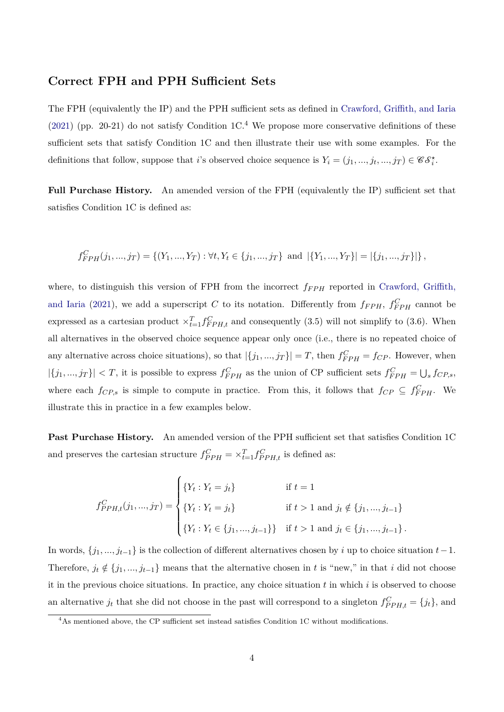#### **Correct FPH and PPH Sufficient Sets**

The FPH (equivalently the IP) and the PPH sufficient sets as defined in [Crawford, Griffith, and Iaria](#page-8-0) [\(2021\)](#page-8-0) (pp. 20-21) do not satisfy Condition  $1C<sup>4</sup>$  $1C<sup>4</sup>$  $1C<sup>4</sup>$  We propose more conservative definitions of these sufficient sets that satisfy Condition 1C and then illustrate their use with some examples. For the definitions that follow, suppose that *i*'s observed choice sequence is  $Y_i = (j_1, ..., j_t, ..., j_T) \in \mathscr{C} \mathscr{S}_i^*$ .

**Full Purchase History.** An amended version of the FPH (equivalently the IP) sufficient set that satisfies Condition 1C is defined as:

$$
f_{FPH}^{C}(j_1, ..., j_T) = \{(Y_1, ..., Y_T) : \forall t, Y_t \in \{j_1, ..., j_T\} \text{ and } |\{Y_1, ..., Y_T\}| = |\{j_1, ..., j_T\}|\},
$$

where, to distinguish this version of FPH from the incorrect  $f_{FPH}$  reported in [Crawford, Griffith,](#page-8-0) [and Iaria](#page-8-0) [\(2021\)](#page-8-0), we add a superscript *C* to its notation. Differently from  $f_{FPH}$ ,  $f_{FPH}^C$  cannot be expressed as a cartesian product  $\times_{t=1}^{T} f_{FPH,t}^{C}$  and consequently (3.5) will not simplify to (3.6). When all alternatives in the observed choice sequence appear only once (i.e., there is no repeated choice of any alternative across choice situations), so that  $|\{j_1, ..., j_T\}| = T$ , then  $f_{FPH}^C = f_{CP}$ . However, when  $|\{j_1, ..., j_T\}| < T$ , it is possible to express  $f_{FPH}^C$  as the union of CP sufficient sets  $f_{FPH}^C = \bigcup_s f_{CP,s}$ , where each  $f_{CP,s}$  is simple to compute in practice. From this, it follows that  $f_{CP} \subseteq f_{FPH}^C$ . We illustrate this in practice in a few examples below.

Past Purchase History. An amended version of the PPH sufficient set that satisfies Condition 1C and preserves the cartesian structure  $f_{PPH}^C = \times_{t=1}^T f_{PPH,t}^C$  is defined as:

$$
f_{PPH,t}^{C}(j_1,...,j_T) = \begin{cases} \{Y_t : Y_t = j_t\} & \text{if } t = 1\\ \{Y_t : Y_t = j_t\} & \text{if } t > 1 \text{ and } j_t \notin \{j_1,...,j_{t-1}\} \\ \{Y_t : Y_t \in \{j_1,...,j_{t-1}\}\} & \text{if } t > 1 \text{ and } j_t \in \{j_1,...,j_{t-1}\}.\end{cases}
$$

In words, {*j*1*, ..., jt*−1} is the collection of different alternatives chosen by *i* up to choice situation *t*−1. Therefore,  $j_t \notin \{j_1, ..., j_{t-1}\}$  means that the alternative chosen in *t* is "new," in that *i* did not choose it in the previous choice situations. In practice, any choice situation *t* in which *i* is observed to choose an alternative  $j_t$  that she did not choose in the past will correspond to a singleton  $f_{PPH,t}^C = \{j_t\}$ , and

<span id="page-3-0"></span><sup>&</sup>lt;sup>4</sup>As mentioned above, the CP sufficient set instead satisfies Condition 1C without modifications.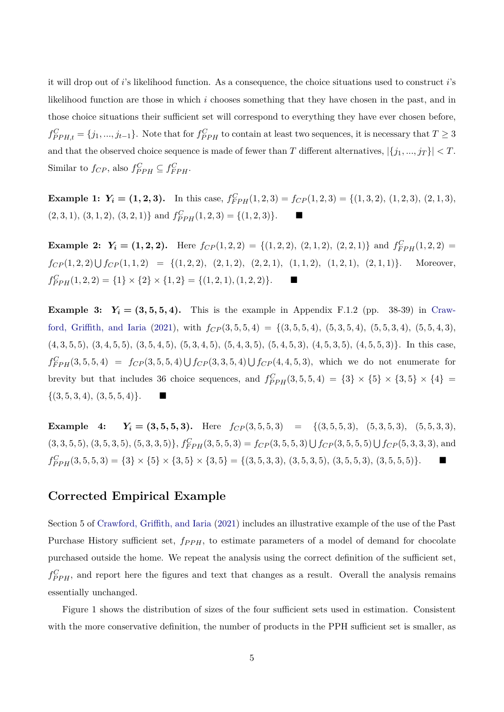it will drop out of *i*'s likelihood function. As a consequence, the choice situations used to construct *i*'s likelihood function are those in which *i* chooses something that they have chosen in the past, and in those choice situations their sufficient set will correspond to everything they have ever chosen before,  $f_{PPH,t}^C = \{j_1, ..., j_{t-1}\}.$  Note that for  $f_{PPH}^C$  to contain at least two sequences, it is necessary that  $T \geq 3$ and that the observed choice sequence is made of fewer than *T* different alternatives,  $|\{j_1, ..., j_T\}| < T$ . Similar to  $f_{CP}$ , also  $f_{PPH}^C \subseteq f_{FPH}^C$ .

**Example 1:**  $Y_i = (1, 2, 3)$ . In this case,  $f_{FPH}^C(1, 2, 3) = f_{CP}(1, 2, 3) = \{(1, 3, 2), (1, 2, 3), (2, 1, 3),\}$  $(2,3,1), (3,1,2), (3,2,1)$ } and  $f_{PPH}^{C}(1,2,3) = \{(1,2,3)\}.$ 

**Example 2:**  $Y_i = (1, 2, 2)$ . Here  $f_{CP}(1, 2, 2) = \{(1, 2, 2), (2, 1, 2), (2, 2, 1)\}\$ and  $f_{FPH}^C(1, 2, 2) =$  $f_{CP}(1,2,2) \cup f_{CP}(1,1,2) = \{(1,2,2), (2,1,2), (2,2,1), (1,1,2), (1,2,1), (2,1,1)\}.$  Moreover,  $f_{PPH}^{C}(1,2,2) = \{1\} \times \{2\} \times \{1,2\} = \{(1,2,1), (1,2,2)\}.$ 

**Example 3:**  $Y_i = (3, 5, 5, 4)$ . This is the example in Appendix F.1.2 (pp. 38-39) in [Craw](#page-8-0)[ford, Griffith, and Iaria](#page-8-0) [\(2021\)](#page-8-0), with  $f_{CP}(3,5,5,4) = \{(3,5,5,4), (5,3,5,4), (5,5,3,4), (5,5,4,3),$  $(4,3,5,5), (3,4,5,5), (3,5,4,5), (5,3,4,5), (5,4,3,5), (5,4,5,3), (4,5,3,5), (4,5,5,3)\}.$  In this case,  $f_{FPH}^C(3,5,5,4) = f_{CP}(3,5,5,4) \cup f_{CP}(3,3,5,4) \cup f_{CP}(4,4,5,3)$ , which we do not enumerate for brevity but that includes 36 choice sequences, and  $f_{PPH}^{C}(3,5,5,4) = \{3\} \times \{5\} \times \{3,5\} \times \{4\} =$  $\{(3, 5, 3, 4), (3, 5, 5, 4)\}.$ 

**Example 4:**  $Y_i = (3, 5, 5, 3)$ . Here  $f_{CP}(3, 5, 5, 3) = \{(3, 5, 5, 3), (5, 3, 5, 3), (5, 5, 3, 3),$  $(3,3,5,5), (3,5,3,5), (5,3,3,5)$ ,  $f_{FPH}^C(3,5,5,3) = f_{CP}(3,5,5,3) \cup f_{CP}(3,5,5,5) \cup f_{CP}(5,3,3,3)$ , and  $f_{PPH}^{C}(3,5,5,3) = \{3\} \times \{5\} \times \{3,5\} \times \{3,5\} = \{(3,5,3,3), (3,5,3,5), (3,5,5,3), (3,5,5,5)\}.$ 

#### **Corrected Empirical Example**

Section 5 of [Crawford, Griffith, and Iaria](#page-8-0) [\(2021\)](#page-8-0) includes an illustrative example of the use of the Past Purchase History sufficient set,  $f_{PPH}$ , to estimate parameters of a model of demand for chocolate purchased outside the home. We repeat the analysis using the correct definition of the sufficient set,  $f_{PPH}^C$ , and report here the figures and text that changes as a result. Overall the analysis remains essentially unchanged.

Figure 1 shows the distribution of sizes of the four sufficient sets used in estimation. Consistent with the more conservative definition, the number of products in the PPH sufficient set is smaller, as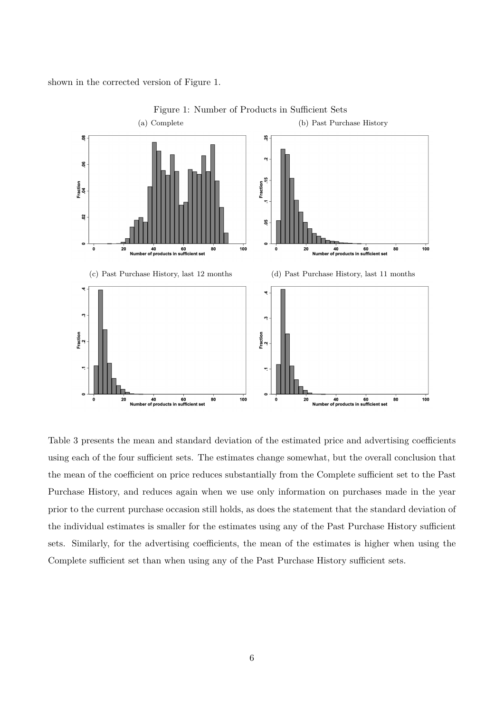shown in the corrected version of Figure 1.



Figure 1: Number of Products in Sufficient Sets

Table 3 presents the mean and standard deviation of the estimated price and advertising coefficients using each of the four sufficient sets. The estimates change somewhat, but the overall conclusion that the mean of the coefficient on price reduces substantially from the Complete sufficient set to the Past Purchase History, and reduces again when we use only information on purchases made in the year prior to the current purchase occasion still holds, as does the statement that the standard deviation of the individual estimates is smaller for the estimates using any of the Past Purchase History sufficient sets. Similarly, for the advertising coefficients, the mean of the estimates is higher when using the Complete sufficient set than when using any of the Past Purchase History sufficient sets.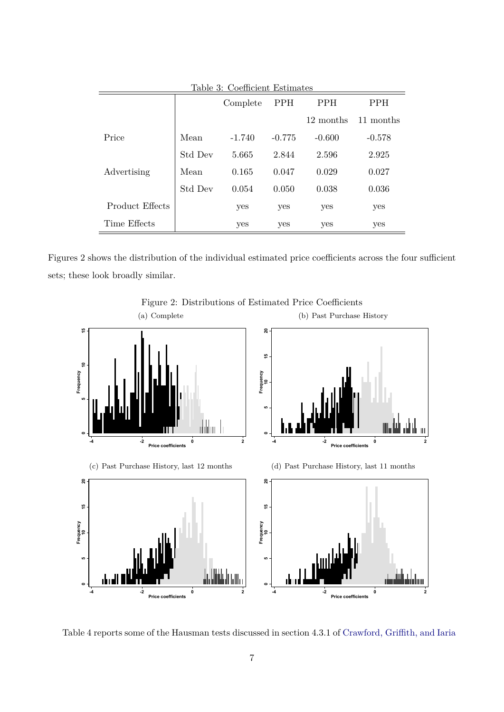|                 |         | Complete | PPH      | <b>PPH</b> | <b>PPH</b> |
|-----------------|---------|----------|----------|------------|------------|
|                 |         |          |          | 12 months  | 11 months  |
| Price           | Mean    | $-1.740$ | $-0.775$ | $-0.600$   | $-0.578$   |
|                 | Std Dev | 5.665    | 2.844    | 2.596      | 2.925      |
| Advertising     | Mean    | 0.165    | 0.047    | 0.029      | 0.027      |
|                 | Std Dev | 0.054    | 0.050    | 0.038      | 0.036      |
| Product Effects |         | yes      | yes      | yes        | yes        |
| Time Effects    |         | yes      | yes      | yes        | yes        |

Figures 2 shows the distribution of the individual estimated price coefficients across the four sufficient sets; these look broadly similar.



Figure 2: Distributions of Estimated Price Coefficients

Table 4 reports some of the Hausman tests discussed in section 4.3.1 of [Crawford, Griffith, and Iaria](#page-8-0)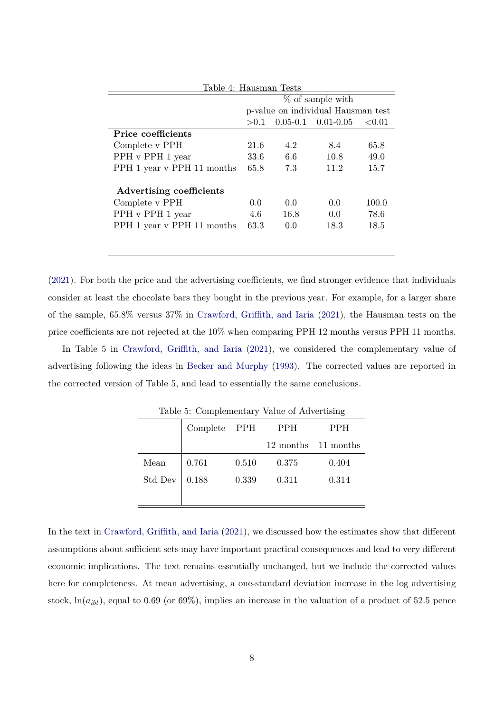| Table 4: Hausman Tests     |                                    |               |                        |           |  |  |
|----------------------------|------------------------------------|---------------|------------------------|-----------|--|--|
|                            | $%$ of sample with                 |               |                        |           |  |  |
|                            | p-value on individual Hausman test |               |                        |           |  |  |
|                            | > 0.1                              |               | $0.05-0.1$ $0.01-0.05$ | ${<}0.01$ |  |  |
| Price coefficients         |                                    |               |                        |           |  |  |
| Complete v PPH             | 21.6                               | 4.2           | 8.4                    | 65.8      |  |  |
| PPH v PPH 1 year           | 33.6                               | 6.6           | 10.8                   | 49.0      |  |  |
| PPH 1 year v PPH 11 months | 65.8                               | 7.3           | 11.2                   | 15.7      |  |  |
| Advertising coefficients   |                                    |               |                        |           |  |  |
| Complete v PPH             | 0.0                                | 0.0           | 0.0                    | 100.0     |  |  |
| PPH v PPH 1 year           | 4.6                                | 16.8          | 0.0                    | 78.6      |  |  |
| PPH 1 year v PPH 11 months | 63.3                               | $0.0^{\circ}$ | 18.3                   | 18.5      |  |  |
|                            |                                    |               |                        |           |  |  |
|                            |                                    |               |                        |           |  |  |

[\(2021\)](#page-8-0). For both the price and the advertising coefficients, we find stronger evidence that individuals consider at least the chocolate bars they bought in the previous year. For example, for a larger share of the sample, 65*.*8% versus 37% in [Crawford, Griffith, and Iaria](#page-8-0) [\(2021\)](#page-8-0), the Hausman tests on the price coefficients are not rejected at the 10% when comparing PPH 12 months versus PPH 11 months.

In Table 5 in [Crawford, Griffith, and Iaria](#page-8-0) [\(2021\)](#page-8-0), we considered the complementary value of advertising following the ideas in [Becker and Murphy](#page-8-6) [\(1993\)](#page-8-6). The corrected values are reported in the corrected version of Table 5, and lead to essentially the same conclusions.

|         | Complete PPH |       | <b>PPH</b>          | <b>PPH</b> |
|---------|--------------|-------|---------------------|------------|
|         |              |       | 12 months 11 months |            |
| Mean    | 0.761        | 0.510 | 0.375               | 0.404      |
| Std Dev | 0.188        | 0.339 | 0.311               | 0.314      |
|         |              |       |                     |            |

Table 5: Complementary Value of Advertising

In the text in [Crawford, Griffith, and Iaria](#page-8-0) [\(2021\)](#page-8-0), we discussed how the estimates show that different assumptions about sufficient sets may have important practical consequences and lead to very different economic implications. The text remains essentially unchanged, but we include the corrected values here for completeness. At mean advertising, a one-standard deviation increase in the log advertising stock,  $\ln(a_{ibt})$ , equal to 0.69 (or 69%), implies an increase in the valuation of a product of 52.5 pence